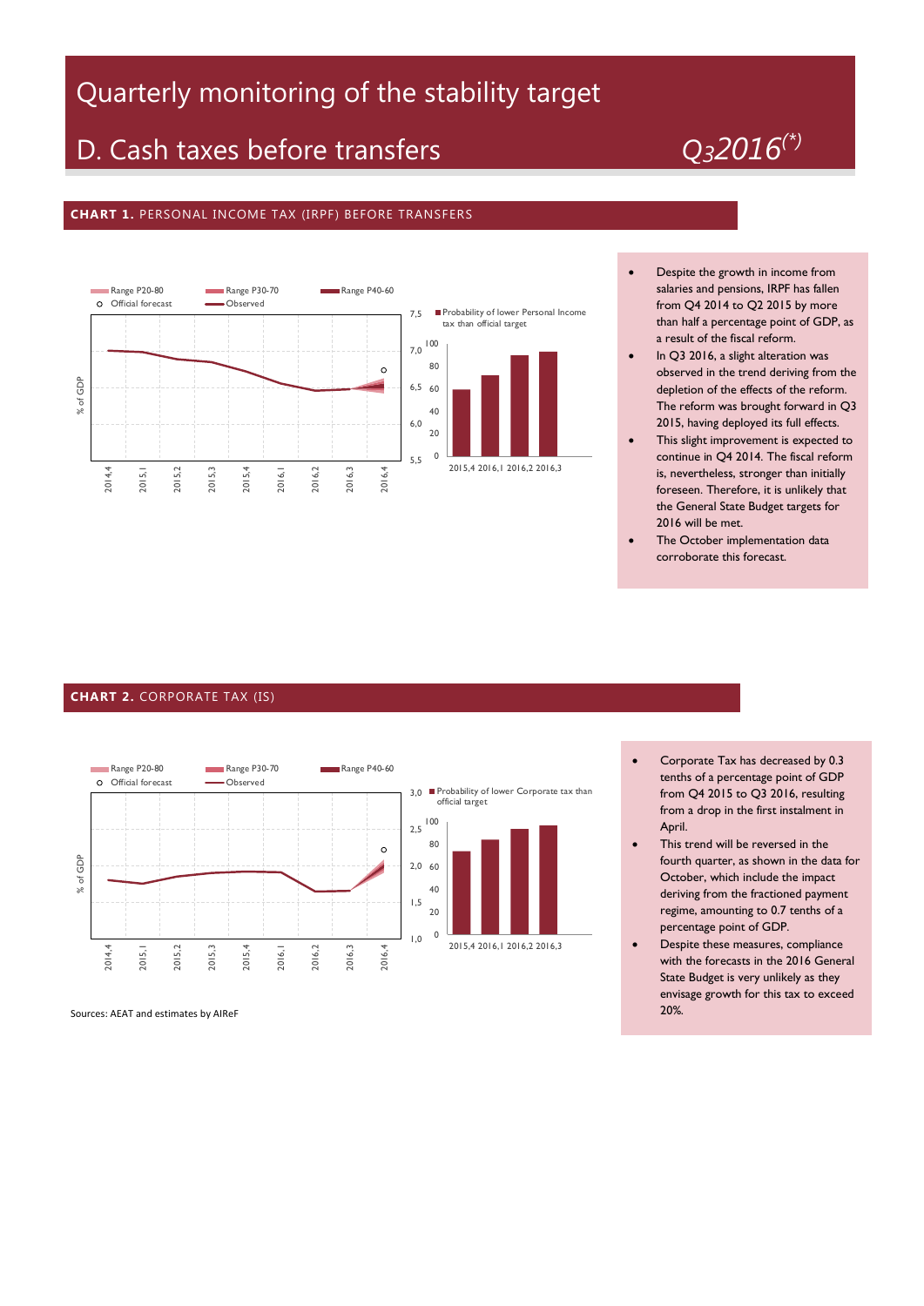# Quarterly monitoring of the stability target

## D. Cash taxes before transfers *Q32016(\*)*

#### **CHART 1.** PERSONAL INCOME TAX (IRPF) BEFORE TRANSFERS



- Despite the growth in income from salaries and pensions, IRPF has fallen from Q4 2014 to Q2 2015 by more than half a percentage point of GDP, as a result of the fiscal reform.
- In Q3 2016, a slight alteration was observed in the trend deriving from the depletion of the effects of the reform. The reform was brought forward in Q3 2015, having deployed its full effects.
- This slight improvement is expected to continue in Q4 2014. The fiscal reform is, nevertheless, stronger than initially foreseen. Therefore, it is unlikely that the General State Budget targets for 2016 will be met.
- The October implementation data corroborate this forecast.

#### **CHART 2.** CORPORATE TAX (IS)



 Corporate Tax has decreased by 0.3 tenths of a percentage point of GDP from Q4 2015 to Q3 2016, resulting from a drop in the first instalment in April.

- This trend will be reversed in the fourth quarter, as shown in the data for October, which include the impact deriving from the fractioned payment regime, amounting to 0.7 tenths of a percentage point of GDP.
- Despite these measures, compliance with the forecasts in the 2016 General State Budget is very unlikely as they envisage growth for this tax to exceed 20%.

Sources: AEAT and estimates by AIReF